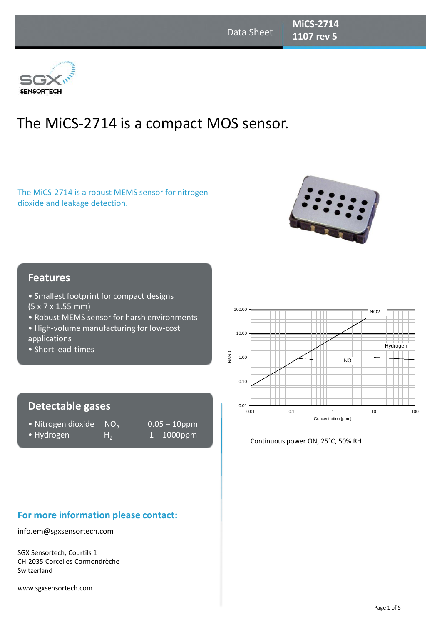

# The MiCS-2714 is a compact MOS sensor.

The MiCS-2714 is a robust MEMS sensor for nitrogen dioxide and leakage detection.



#### **Features**

- Smallest footprint for compact designs (5 x 7 x 1.55 mm)
- Robust MEMS sensor for harsh environments
- High-volume manufacturing for low-cost
- applications
- Short lead-times

## **Detectable gases**

- Nitrogen dioxide  $NO<sub>2</sub>$
- Hydrogen  $H_2$
- 0.05 10ppm 1 – 1000ppm

# **For more information please contact:**

info.em@sgxsensortech.com

SGX Sensortech, Courtils 1 CH-2035 Corcelles-Cormondrèche Switzerland

www.sgxsensortech.com



Continuous power ON, 25°C, 50% RH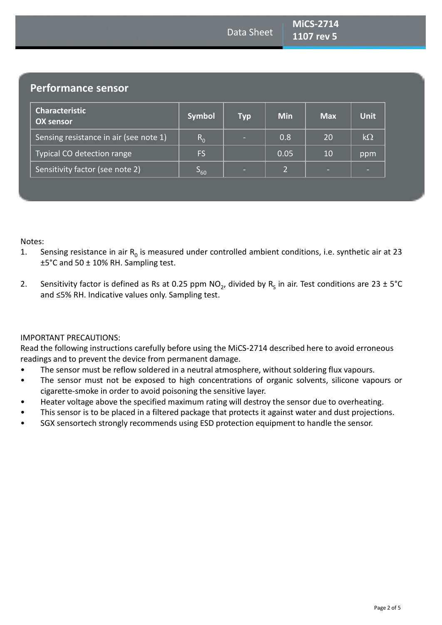# **Performance sensor**

| <b>Characteristic</b><br><b>OX sensor</b> | <b>Symbol</b> | <b>Typ</b> | <b>Min</b>   | <b>Max</b> | <b>Unit</b> |
|-------------------------------------------|---------------|------------|--------------|------------|-------------|
| Sensing resistance in air (see note 1)    | $R_{0}$       | -          | 0.8          | 20         | $k\Omega$   |
| Typical CO detection range                | FS            |            | 0.05         | 10         | ppm         |
| Sensitivity factor (see note 2)           | $S_{60}$      | -          | $\mathbf{2}$ | -          |             |

Notes:

- 1. Sensing resistance in air  $R_0$  is measured under controlled ambient conditions, i.e. synthetic air at 23 ±5°C and 50 ± 10% RH. Sampling test.
- 2. Sensitivity factor is defined as Rs at 0.25 ppm NO<sub>2</sub>, divided by R<sub>s</sub> in air. Test conditions are 23 ± 5°C and ≤5% RH. Indicative values only. Sampling test.

#### IMPORTANT PRECAUTIONS:

Read the following instructions carefully before using the MiCS-2714 described here to avoid erroneous readings and to prevent the device from permanent damage.

- The sensor must be reflow soldered in a neutral atmosphere, without soldering flux vapours.
- The sensor must not be exposed to high concentrations of organic solvents, silicone vapours or cigarette-smoke in order to avoid poisoning the sensitive layer.
- Heater voltage above the specified maximum rating will destroy the sensor due to overheating.
- This sensor is to be placed in a filtered package that protects it against water and dust projections.
- SGX sensortech strongly recommends using ESD protection equipment to handle the sensor.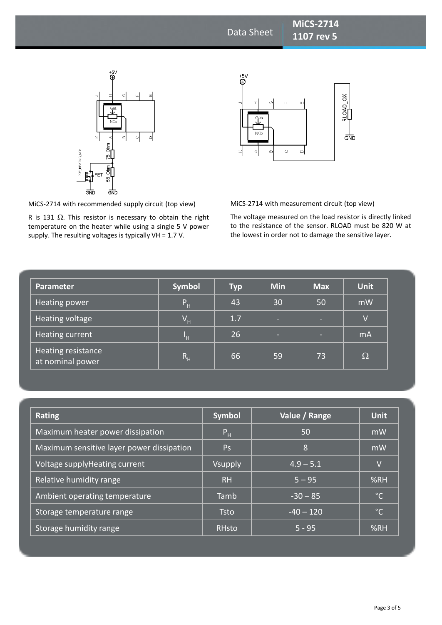



MiCS-2714 with recommended supply circuit (top view)

**Power circuit 1948**<br>R is 131 Ω. This resistor is necessary to obtain the right temperature on the heater while using a single 5 V power supply. The resulting voltages is typically VH = 1.7 V.

MiCS-2714 with measurement circuit (top view)

The voltage measured on the load resistor is directly linked to the resistance of the sensor. RLOAD must be 820 W at the lowest in order not to damage the sensitive layer.

| Parameter                              | <b>Symbol</b>  | <b>Typ</b> | <b>Min</b> | <b>Max</b> | <b>Unit</b>    |
|----------------------------------------|----------------|------------|------------|------------|----------------|
| <b>Heating power</b>                   | $P_H$          | 43         | 30         | 50         | mW             |
| Heating voltage                        | $V_H$          | 1.7        | $\sim$     | $\sim$     | $\overline{V}$ |
| Heating current                        | H              | 26         | ÷          | -          | mA             |
| Heating resistance<br>at nominal power | R <sub>H</sub> | 66         | 59         | 73         | Ω              |

| <b>Rating</b>                             | <b>Symbol</b>  | Value / Range                | <b>Unit</b>  |
|-------------------------------------------|----------------|------------------------------|--------------|
| Maximum heater power dissipation          | P <sub>H</sub> | 50                           | mW           |
| Maximum sensitive layer power dissipation | Ps             | 8                            | mW           |
| Voltage supplyHeating current             | Vsupply        | $4.9 - 5.1$                  | V            |
| Relative humidity range                   | RH             | $5 - 95$                     | %RH          |
| Ambient operating temperature             | Tamb           | $-30 - 85$                   | $^{\circ}$ C |
| Storage temperature range                 | <b>Tsto</b>    | $-40 - 120$                  | $^{\circ}$ C |
| Storage humidity range                    | <b>RHsto</b>   | $\overline{5}$ - 95 $^\circ$ | %RH          |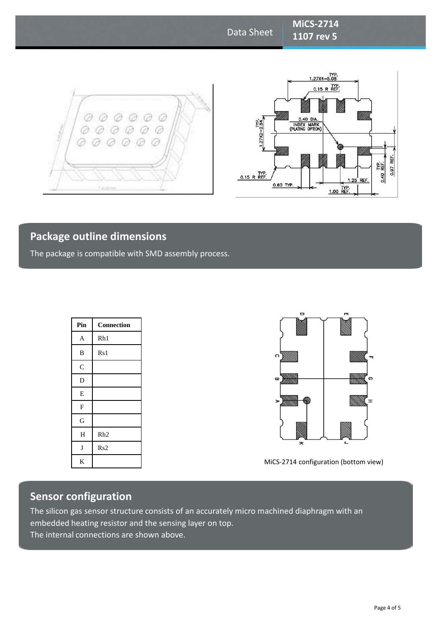# Data Sheet

**MiCS-2714 1107 rev 5** 





# **Package outline dimensions**

The package is compatible with SMD assembly process.

| Pin                       | Connection      |
|---------------------------|-----------------|
| $\mathbf{A}$              | Rh1             |
| $\, {\bf B}$              | Rs1             |
| $\mathbf C$               |                 |
| D                         |                 |
| E                         |                 |
| $\boldsymbol{\mathrm{F}}$ |                 |
| G                         |                 |
| H                         | Rh <sub>2</sub> |
| J                         | Rs2             |
| K                         |                 |



MiCS-2714 configuration (bottom view)

# **Sensor configuration**

The silicon gas sensor structure consists of an accurately micro machined diaphragm with an embedded heating resistor and the sensing layer on top. The internal connections are shown above.